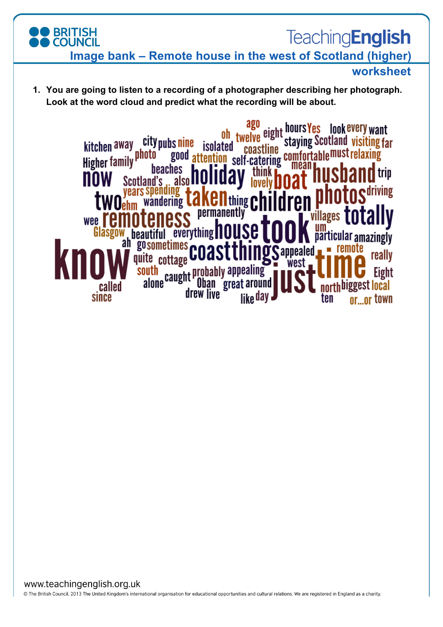## **BRITISH**<br>COUNCIL **TeachingEnglish Image bank – Remote house in the west of Scotland (higher) worksheet**

**1. You are going to listen to a recording of a photographer describing her photograph. Look at the word cloud and predict what the recording will be about.** 

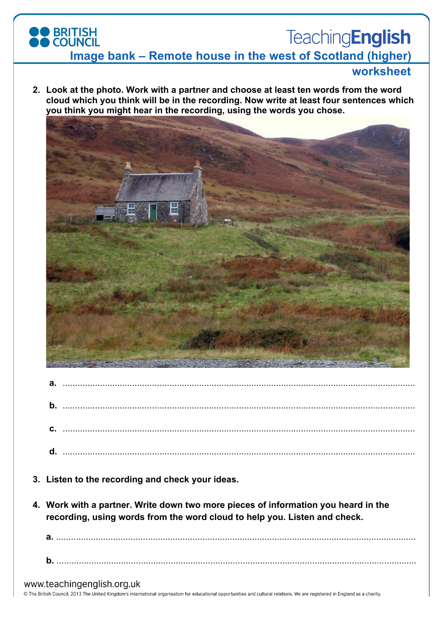## **BRITISH**<br>COUNCIL **TeachingEnglish Image bank – Remote house in the west of Scotland (higher)**

## **worksheet**

**2. Look at the photo. Work with a partner and choose at least ten words from the word cloud which you think will be in the recording. Now write at least four sentences which you think you might hear in the recording, using the words you chose.** 



| $\mathbf b$ |  |
|-------------|--|
|             |  |
|             |  |
|             |  |
|             |  |
|             |  |
|             |  |
|             |  |

- **3. Listen to the recording and check your ideas.**
- **4. Work with a partner. Write down two more pieces of information you heard in the recording, using words from the word cloud to help you. Listen and check.**

**a.** ................................................................................................................................................. **b.** .................................................................................................................................................

#### www.teachingenglish.org.uk

© The British Council, 2013 The United Kingdom's international organisation for educational opportunities and cultural relations. We are registered in England as a charity.